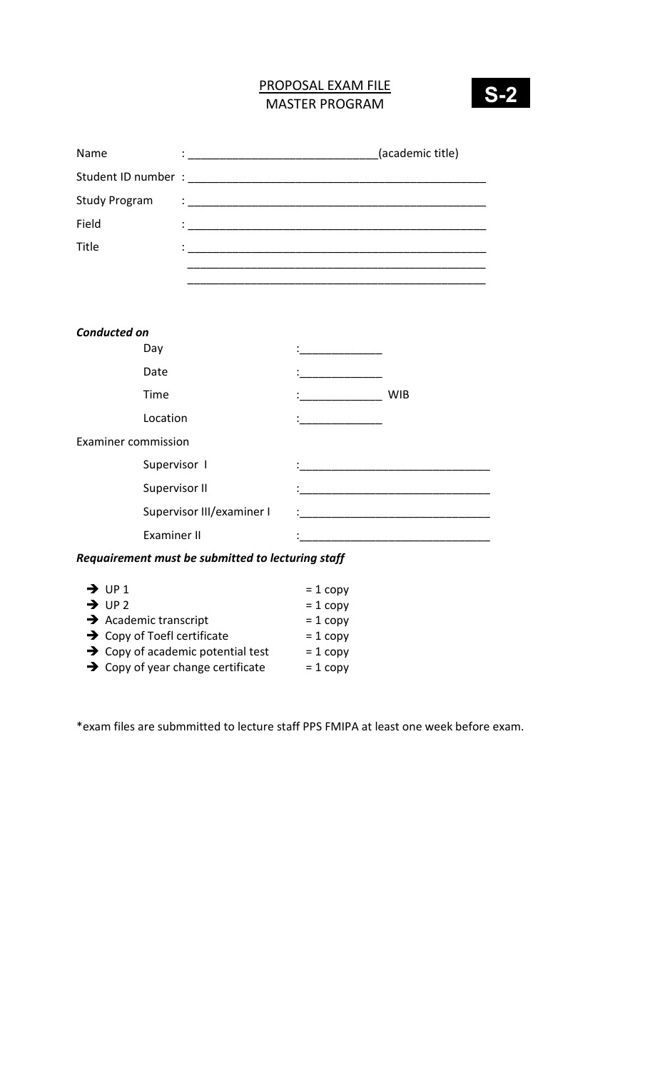# PROPOSAL EXAM FILE MASTER PROGRAM



| Name                              | (academic title) |
|-----------------------------------|------------------|
| Student ID number : _____________ |                  |
| <b>Study Program</b>              | $\vdots$         |
| Field                             |                  |
| Title                             |                  |
|                                   |                  |

| <b>WIB</b> |
|------------|
|            |
|            |
|            |
|            |
|            |
|            |
|            |

## Requairement must be submitted to lecturing staff

| $\rightarrow$ UP1                             | $= 1$ copy |
|-----------------------------------------------|------------|
| $\rightarrow$ UP 2                            | $= 1$ copy |
| $\rightarrow$ Academic transcript             | $= 1$ copy |
| $\rightarrow$ Copy of Toefl certificate       | $= 1$ copy |
| $\rightarrow$ Copy of academic potential test | $= 1$ copy |
| $\rightarrow$ Copy of year change certificate | $= 1$ copy |

\*exam files are submmitted to lecture staff PPS FMIPA at least one week before exam.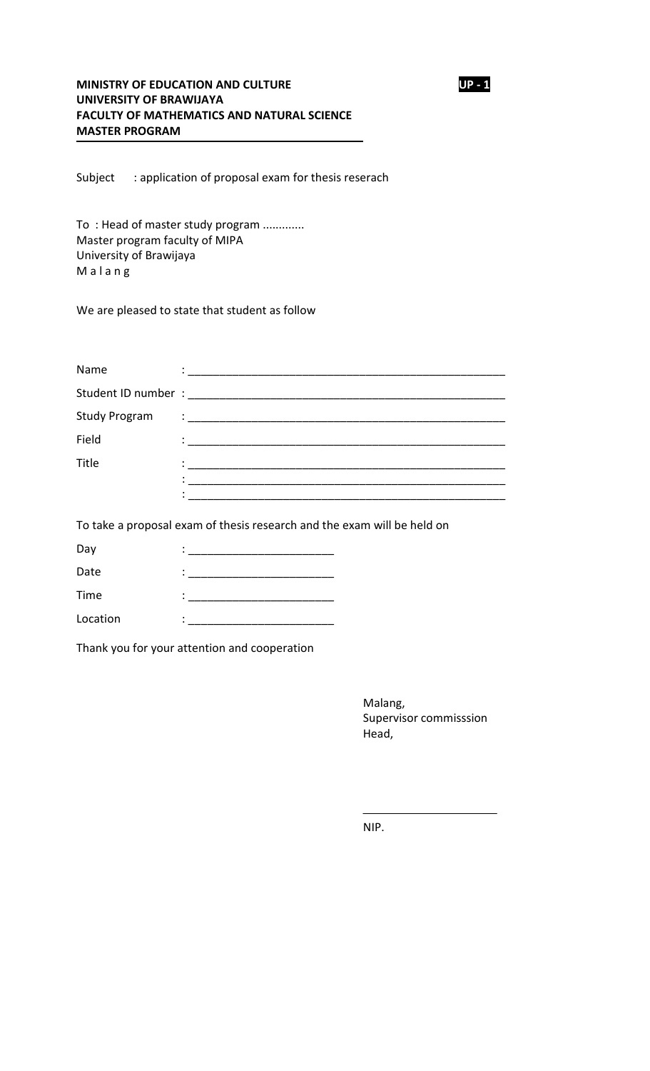#### MINISTRY OF EDUCATION AND CULTURE UP - 1 UNIVERSITY OF BRAWIJAYA FACULTY OF MATHEMATICS AND NATURAL SCIENCE MASTER PROGRAM

Subject : application of proposal exam for thesis reserach

To : Head of master study program ............. Master program faculty of MIPA University of Brawijaya M a l a n g

We are pleased to state that student as follow

| Name                               |                                                                                                                                                                                                                                                                                                                                                                                                                                                                                                |
|------------------------------------|------------------------------------------------------------------------------------------------------------------------------------------------------------------------------------------------------------------------------------------------------------------------------------------------------------------------------------------------------------------------------------------------------------------------------------------------------------------------------------------------|
| Student ID number : ______________ |                                                                                                                                                                                                                                                                                                                                                                                                                                                                                                |
| <b>Study Program</b>               | $\begin{tabular}{c} \multicolumn{2}{c} {\textbf{1}} & \multicolumn{2}{c} {\textbf{1}} & \multicolumn{2}{c} {\textbf{1}} \\ \multicolumn{2}{c} {\begin{tabular}{c} \multicolumn{2}{c} {\textbf{1}} & \multicolumn{2}{c} {\textbf{1}} & \multicolumn{2}{c} {\textbf{1}} & \multicolumn{2}{c} {\textbf{1}} \\ \multicolumn{2}{c} {\textbf{1}} & \multicolumn{2}{c} {\textbf{1}} & \multicolumn{2}{c} {\textbf{1}} & \multicolumn{2}{c} {\textbf{1}} & \multicolumn{2}{c} {\textbf{1}} \\ \multic$ |
| Field                              |                                                                                                                                                                                                                                                                                                                                                                                                                                                                                                |
| Title                              |                                                                                                                                                                                                                                                                                                                                                                                                                                                                                                |
|                                    |                                                                                                                                                                                                                                                                                                                                                                                                                                                                                                |
|                                    |                                                                                                                                                                                                                                                                                                                                                                                                                                                                                                |

To take a proposal exam of thesis research and the exam will be held on

| Day      |   |
|----------|---|
| Date     |   |
| Time     | ٠ |
| Location |   |

Thank you for your attention and cooperation

Malang, Supervisor commisssion Head,

NIP.